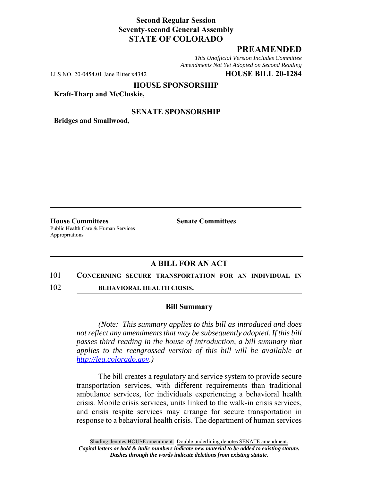## **Second Regular Session Seventy-second General Assembly STATE OF COLORADO**

# **PREAMENDED**

*This Unofficial Version Includes Committee Amendments Not Yet Adopted on Second Reading*

LLS NO. 20-0454.01 Jane Ritter x4342 **HOUSE BILL 20-1284**

**HOUSE SPONSORSHIP**

**Kraft-Tharp and McCluskie,**

### **SENATE SPONSORSHIP**

**Bridges and Smallwood,**

**House Committees Senate Committees** Public Health Care & Human Services Appropriations

## **A BILL FOR AN ACT**

#### 101 **CONCERNING SECURE TRANSPORTATION FOR AN INDIVIDUAL IN**

102 **BEHAVIORAL HEALTH CRISIS.**

#### **Bill Summary**

*(Note: This summary applies to this bill as introduced and does not reflect any amendments that may be subsequently adopted. If this bill passes third reading in the house of introduction, a bill summary that applies to the reengrossed version of this bill will be available at http://leg.colorado.gov.)*

The bill creates a regulatory and service system to provide secure transportation services, with different requirements than traditional ambulance services, for individuals experiencing a behavioral health crisis. Mobile crisis services, units linked to the walk-in crisis services, and crisis respite services may arrange for secure transportation in response to a behavioral health crisis. The department of human services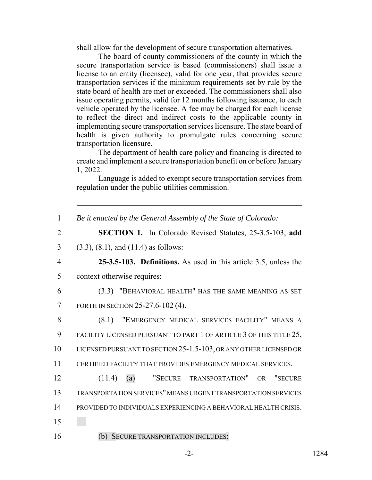shall allow for the development of secure transportation alternatives.

The board of county commissioners of the county in which the secure transportation service is based (commissioners) shall issue a license to an entity (licensee), valid for one year, that provides secure transportation services if the minimum requirements set by rule by the state board of health are met or exceeded. The commissioners shall also issue operating permits, valid for 12 months following issuance, to each vehicle operated by the licensee. A fee may be charged for each license to reflect the direct and indirect costs to the applicable county in implementing secure transportation services licensure. The state board of health is given authority to promulgate rules concerning secure transportation licensure.

The department of health care policy and financing is directed to create and implement a secure transportation benefit on or before January 1, 2022.

Language is added to exempt secure transportation services from regulation under the public utilities commission.

1 *Be it enacted by the General Assembly of the State of Colorado:*

2 **SECTION 1.** In Colorado Revised Statutes, 25-3.5-103, **add**

3 (3.3), (8.1), and (11.4) as follows:

4 **25-3.5-103. Definitions.** As used in this article 3.5, unless the 5 context otherwise requires:

6 (3.3) "BEHAVIORAL HEALTH" HAS THE SAME MEANING AS SET 7 FORTH IN SECTION 25-27.6-102 (4).

 (8.1) "EMERGENCY MEDICAL SERVICES FACILITY" MEANS A 9 FACILITY LICENSED PURSUANT TO PART 1 OF ARTICLE 3 OF THIS TITLE 25, LICENSED PURSUANT TO SECTION 25-1.5-103, OR ANY OTHER LICENSED OR CERTIFIED FACILITY THAT PROVIDES EMERGENCY MEDICAL SERVICES.

 (11.4) (a) "SECURE TRANSPORTATION" OR "SECURE TRANSPORTATION SERVICES" MEANS URGENT TRANSPORTATION SERVICES PROVIDED TO INDIVIDUALS EXPERIENCING A BEHAVIORAL HEALTH CRISIS. 15

16 (b) SECURE TRANSPORTATION INCLUDES: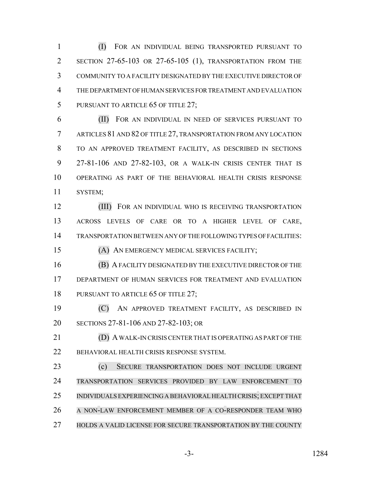(I) FOR AN INDIVIDUAL BEING TRANSPORTED PURSUANT TO SECTION 27-65-103 OR 27-65-105 (1), TRANSPORTATION FROM THE COMMUNITY TO A FACILITY DESIGNATED BY THE EXECUTIVE DIRECTOR OF THE DEPARTMENT OF HUMAN SERVICES FOR TREATMENT AND EVALUATION 5 PURSUANT TO ARTICLE 65 OF TITLE 27;

 (II) FOR AN INDIVIDUAL IN NEED OF SERVICES PURSUANT TO ARTICLES 81 AND 82 OF TITLE 27, TRANSPORTATION FROM ANY LOCATION TO AN APPROVED TREATMENT FACILITY, AS DESCRIBED IN SECTIONS 27-81-106 AND 27-82-103, OR A WALK-IN CRISIS CENTER THAT IS OPERATING AS PART OF THE BEHAVIORAL HEALTH CRISIS RESPONSE SYSTEM;

**(III)** FOR AN INDIVIDUAL WHO IS RECEIVING TRANSPORTATION ACROSS LEVELS OF CARE OR TO A HIGHER LEVEL OF CARE, TRANSPORTATION BETWEEN ANY OF THE FOLLOWING TYPES OF FACILITIES:

(A) AN EMERGENCY MEDICAL SERVICES FACILITY;

 (B) A FACILITY DESIGNATED BY THE EXECUTIVE DIRECTOR OF THE DEPARTMENT OF HUMAN SERVICES FOR TREATMENT AND EVALUATION 18 PURSUANT TO ARTICLE 65 OF TITLE 27;

 (C) AN APPROVED TREATMENT FACILITY, AS DESCRIBED IN SECTIONS 27-81-106 AND 27-82-103; OR

 (D) A WALK-IN CRISIS CENTER THAT IS OPERATING AS PART OF THE BEHAVIORAL HEALTH CRISIS RESPONSE SYSTEM.

 (c) SECURE TRANSPORTATION DOES NOT INCLUDE URGENT TRANSPORTATION SERVICES PROVIDED BY LAW ENFORCEMENT TO INDIVIDUALS EXPERIENCING A BEHAVIORAL HEALTH CRISIS; EXCEPT THAT A NON-LAW ENFORCEMENT MEMBER OF A CO-RESPONDER TEAM WHO HOLDS A VALID LICENSE FOR SECURE TRANSPORTATION BY THE COUNTY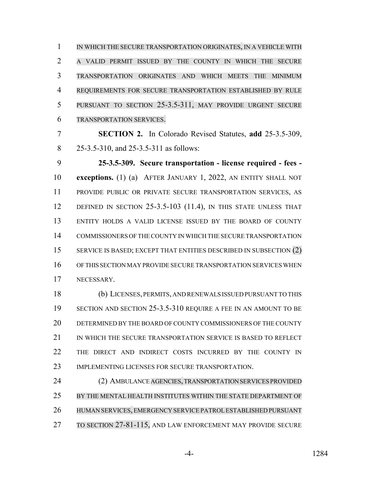IN WHICH THE SECURE TRANSPORTATION ORIGINATES, IN A VEHICLE WITH A VALID PERMIT ISSUED BY THE COUNTY IN WHICH THE SECURE TRANSPORTATION ORIGINATES AND WHICH MEETS THE MINIMUM REQUIREMENTS FOR SECURE TRANSPORTATION ESTABLISHED BY RULE PURSUANT TO SECTION 25-3.5-311, MAY PROVIDE URGENT SECURE TRANSPORTATION SERVICES.

 **SECTION 2.** In Colorado Revised Statutes, **add** 25-3.5-309, 8 25-3.5-310, and 25-3.5-311 as follows:

 **25-3.5-309. Secure transportation - license required - fees - exceptions.** (1) (a) AFTER JANUARY 1, 2022, AN ENTITY SHALL NOT PROVIDE PUBLIC OR PRIVATE SECURE TRANSPORTATION SERVICES, AS 12 DEFINED IN SECTION 25-3.5-103 (11.4), IN THIS STATE UNLESS THAT ENTITY HOLDS A VALID LICENSE ISSUED BY THE BOARD OF COUNTY COMMISSIONERS OF THE COUNTY IN WHICH THE SECURE TRANSPORTATION 15 SERVICE IS BASED; EXCEPT THAT ENTITIES DESCRIBED IN SUBSECTION (2) OF THIS SECTION MAY PROVIDE SECURE TRANSPORTATION SERVICES WHEN NECESSARY.

 (b) LICENSES, PERMITS, AND RENEWALS ISSUED PURSUANT TO THIS SECTION AND SECTION 25-3.5-310 REQUIRE A FEE IN AN AMOUNT TO BE DETERMINED BY THE BOARD OF COUNTY COMMISSIONERS OF THE COUNTY 21 IN WHICH THE SECURE TRANSPORTATION SERVICE IS BASED TO REFLECT THE DIRECT AND INDIRECT COSTS INCURRED BY THE COUNTY IN IMPLEMENTING LICENSES FOR SECURE TRANSPORTATION.

 (2) AMBULANCE AGENCIES, TRANSPORTATION SERVICES PROVIDED BY THE MENTAL HEALTH INSTITUTES WITHIN THE STATE DEPARTMENT OF HUMAN SERVICES, EMERGENCY SERVICE PATROL ESTABLISHED PURSUANT TO SECTION 27-81-115, AND LAW ENFORCEMENT MAY PROVIDE SECURE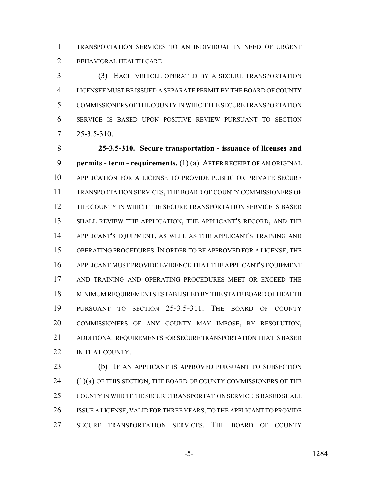TRANSPORTATION SERVICES TO AN INDIVIDUAL IN NEED OF URGENT BEHAVIORAL HEALTH CARE.

 (3) EACH VEHICLE OPERATED BY A SECURE TRANSPORTATION LICENSEE MUST BE ISSUED A SEPARATE PERMIT BY THE BOARD OF COUNTY COMMISSIONERS OF THE COUNTY IN WHICH THE SECURE TRANSPORTATION SERVICE IS BASED UPON POSITIVE REVIEW PURSUANT TO SECTION 25-3.5-310.

 **25-3.5-310. Secure transportation - issuance of licenses and permits - term - requirements.** (1) (a) AFTER RECEIPT OF AN ORIGINAL APPLICATION FOR A LICENSE TO PROVIDE PUBLIC OR PRIVATE SECURE TRANSPORTATION SERVICES, THE BOARD OF COUNTY COMMISSIONERS OF THE COUNTY IN WHICH THE SECURE TRANSPORTATION SERVICE IS BASED SHALL REVIEW THE APPLICATION, THE APPLICANT'S RECORD, AND THE APPLICANT'S EQUIPMENT, AS WELL AS THE APPLICANT'S TRAINING AND OPERATING PROCEDURES. IN ORDER TO BE APPROVED FOR A LICENSE, THE APPLICANT MUST PROVIDE EVIDENCE THAT THE APPLICANT'S EQUIPMENT AND TRAINING AND OPERATING PROCEDURES MEET OR EXCEED THE MINIMUM REQUIREMENTS ESTABLISHED BY THE STATE BOARD OF HEALTH PURSUANT TO SECTION 25-3.5-311. THE BOARD OF COUNTY COMMISSIONERS OF ANY COUNTY MAY IMPOSE, BY RESOLUTION, ADDITIONAL REQUIREMENTS FOR SECURE TRANSPORTATION THAT IS BASED 22 IN THAT COUNTY.

 (b) IF AN APPLICANT IS APPROVED PURSUANT TO SUBSECTION (1)(a) OF THIS SECTION, THE BOARD OF COUNTY COMMISSIONERS OF THE COUNTY IN WHICH THE SECURE TRANSPORTATION SERVICE IS BASED SHALL ISSUE A LICENSE, VALID FOR THREE YEARS, TO THE APPLICANT TO PROVIDE SECURE TRANSPORTATION SERVICES. THE BOARD OF COUNTY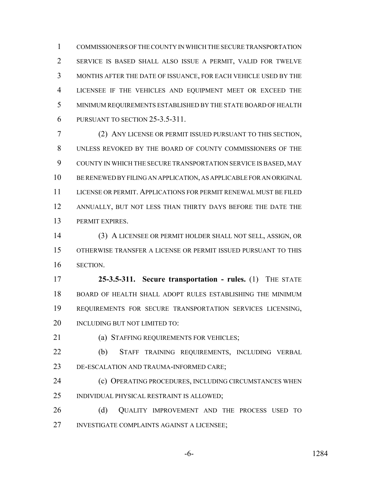COMMISSIONERS OF THE COUNTY IN WHICH THE SECURE TRANSPORTATION SERVICE IS BASED SHALL ALSO ISSUE A PERMIT, VALID FOR TWELVE MONTHS AFTER THE DATE OF ISSUANCE, FOR EACH VEHICLE USED BY THE LICENSEE IF THE VEHICLES AND EQUIPMENT MEET OR EXCEED THE MINIMUM REQUIREMENTS ESTABLISHED BY THE STATE BOARD OF HEALTH PURSUANT TO SECTION 25-3.5-311.

 (2) ANY LICENSE OR PERMIT ISSUED PURSUANT TO THIS SECTION, UNLESS REVOKED BY THE BOARD OF COUNTY COMMISSIONERS OF THE COUNTY IN WHICH THE SECURE TRANSPORTATION SERVICE IS BASED, MAY BE RENEWED BY FILING AN APPLICATION, AS APPLICABLE FOR AN ORIGINAL LICENSE OR PERMIT. APPLICATIONS FOR PERMIT RENEWAL MUST BE FILED 12 ANNUALLY, BUT NOT LESS THAN THIRTY DAYS BEFORE THE DATE THE PERMIT EXPIRES.

 (3) A LICENSEE OR PERMIT HOLDER SHALL NOT SELL, ASSIGN, OR OTHERWISE TRANSFER A LICENSE OR PERMIT ISSUED PURSUANT TO THIS SECTION.

 **25-3.5-311. Secure transportation - rules.** (1) THE STATE BOARD OF HEALTH SHALL ADOPT RULES ESTABLISHING THE MINIMUM REQUIREMENTS FOR SECURE TRANSPORTATION SERVICES LICENSING, 20 INCLUDING BUT NOT LIMITED TO:

(a) STAFFING REQUIREMENTS FOR VEHICLES;

 (b) STAFF TRAINING REQUIREMENTS, INCLUDING VERBAL DE-ESCALATION AND TRAUMA-INFORMED CARE;

**(c) OPERATING PROCEDURES, INCLUDING CIRCUMSTANCES WHEN** INDIVIDUAL PHYSICAL RESTRAINT IS ALLOWED;

26 (d) QUALITY IMPROVEMENT AND THE PROCESS USED TO INVESTIGATE COMPLAINTS AGAINST A LICENSEE;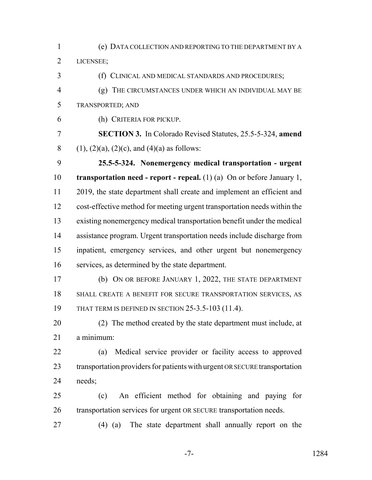(e) DATA COLLECTION AND REPORTING TO THE DEPARTMENT BY A LICENSEE;

(f) CLINICAL AND MEDICAL STANDARDS AND PROCEDURES;

- (g) THE CIRCUMSTANCES UNDER WHICH AN INDIVIDUAL MAY BE TRANSPORTED; AND
- (h) CRITERIA FOR PICKUP.

 **SECTION 3.** In Colorado Revised Statutes, 25.5-5-324, **amend** 8 (1), (2)(a), (2)(c), and (4)(a) as follows:

 **25.5-5-324. Nonemergency medical transportation - urgent transportation need - report - repeal.** (1) (a) On or before January 1, 2019, the state department shall create and implement an efficient and cost-effective method for meeting urgent transportation needs within the existing nonemergency medical transportation benefit under the medical assistance program. Urgent transportation needs include discharge from inpatient, emergency services, and other urgent but nonemergency services, as determined by the state department.

 (b) ON OR BEFORE JANUARY 1, 2022, THE STATE DEPARTMENT SHALL CREATE A BENEFIT FOR SECURE TRANSPORTATION SERVICES, AS THAT TERM IS DEFINED IN SECTION 25-3.5-103 (11.4).

 (2) The method created by the state department must include, at a minimum:

 (a) Medical service provider or facility access to approved transportation providers for patients with urgent OR SECURE transportation needs;

 (c) An efficient method for obtaining and paying for transportation services for urgent OR SECURE transportation needs.

(4) (a) The state department shall annually report on the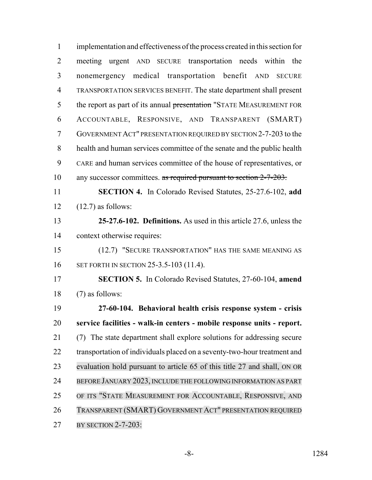implementation and effectiveness of the process created in this section for meeting urgent AND SECURE transportation needs within the nonemergency medical transportation benefit AND SECURE TRANSPORTATION SERVICES BENEFIT. The state department shall present 5 the report as part of its annual presentation "STATE MEASUREMENT FOR ACCOUNTABLE, RESPONSIVE, AND TRANSPARENT (SMART) GOVERNMENT ACT" PRESENTATION REQUIRED BY SECTION 2-7-203 to the health and human services committee of the senate and the public health CARE and human services committee of the house of representatives, or 10 any successor committees. as required pursuant to section 2-7-203. **SECTION 4.** In Colorado Revised Statutes, 25-27.6-102, **add** (12.7) as follows: **25-27.6-102. Definitions.** As used in this article 27.6, unless the context otherwise requires: (12.7) "SECURE TRANSPORTATION" HAS THE SAME MEANING AS SET FORTH IN SECTION 25-3.5-103 (11.4). **SECTION 5.** In Colorado Revised Statutes, 27-60-104, **amend** (7) as follows: **27-60-104. Behavioral health crisis response system - crisis service facilities - walk-in centers - mobile response units - report.** (7) The state department shall explore solutions for addressing secure 22 transportation of individuals placed on a seventy-two-hour treatment and evaluation hold pursuant to article 65 of this title 27 and shall, ON OR BEFORE JANUARY 2023, INCLUDE THE FOLLOWING INFORMATION AS PART OF ITS "STATE MEASUREMENT FOR ACCOUNTABLE, RESPONSIVE, AND TRANSPARENT (SMART) GOVERNMENT ACT" PRESENTATION REQUIRED BY SECTION 2-7-203: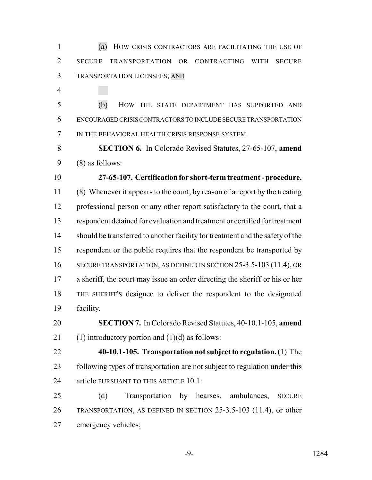(a) HOW CRISIS CONTRACTORS ARE FACILITATING THE USE OF SECURE TRANSPORTATION OR CONTRACTING WITH SECURE TRANSPORTATION LICENSEES; AND

 (b) HOW THE STATE DEPARTMENT HAS SUPPORTED AND ENCOURAGED CRISIS CONTRACTORS TO INCLUDE SECURE TRANSPORTATION IN THE BEHAVIORAL HEALTH CRISIS RESPONSE SYSTEM.

 **SECTION 6.** In Colorado Revised Statutes, 27-65-107, **amend** (8) as follows:

 **27-65-107. Certification for short-term treatment - procedure.** (8) Whenever it appears to the court, by reason of a report by the treating professional person or any other report satisfactory to the court, that a respondent detained for evaluation and treatment or certified for treatment should be transferred to another facility for treatment and the safety of the respondent or the public requires that the respondent be transported by 16 SECURE TRANSPORTATION, AS DEFINED IN SECTION 25-3.5-103 (11.4), OR 17 a sheriff, the court may issue an order directing the sheriff or his or her THE SHERIFF'S designee to deliver the respondent to the designated facility.

 **SECTION 7.** In Colorado Revised Statutes, 40-10.1-105, **amend** 21 (1) introductory portion and  $(1)(d)$  as follows:

- **40-10.1-105. Transportation not subject to regulation.** (1) The 23 following types of transportation are not subject to regulation under this 24 article PURSUANT TO THIS ARTICLE 10.1:
- (d) Transportation by hearses, ambulances, SECURE TRANSPORTATION, AS DEFINED IN SECTION 25-3.5-103 (11.4), or other emergency vehicles;